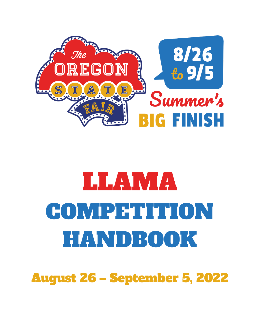

# LLAMA COMPETITION HANDBOOK

August 26 – September 5, 2022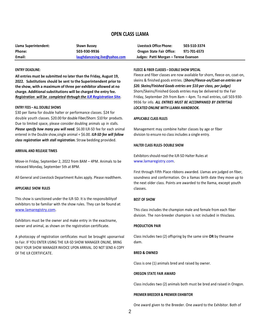# **OPEN CLASS LLAMA**

| Email:                | laughdancesing.live@yahoo.com | Judges: Patti Morgan – Terese Evanson |              |
|-----------------------|-------------------------------|---------------------------------------|--------------|
| Phone:                | 503-930-9936                  | Oregon State Fair Office:             | 971-701-6573 |
| Llama Superintendent: | Shawn Bussey                  | Livestock Office Phone:               | 503-510-3374 |

#### **ENTRY DEADLINE:**

**All entries must be submitted no later than the Friday, August 19, 2022. Substitutions should be sent to the Superintendent prior to the show, with a maximum of three per exhibitor allowed at no charge. Additionalsubstitutions will be charged the entry fee.** *Registration will be completed through the ILR [Registration](https://secure.lamaregistry.com/news/calendar-of-events.php) Site.*

#### **ENTRY FEES – ALL DOUBLE SHOWS**

\$30 per llama for double halter or performance classes. \$24 for double youth classes. \$20.00 for double Fiber/Shorn: \$10 for products. Due to limited space, please consider doubling animals up in stalls. *Please specify how many you will need.* \$6.00 ILR-SD fee for each animal entered in the Double show,single animal = \$6.00. *ILR-SD fee will follow class registration with stall registration.* Straw bedding provided.

#### **ARRIVAL AND RELEASE TIMES**

Move-in Friday, September 2, 2022 from 8AM – 4PM. Animals to be released Monday, September 5th at 8PM.

All General and Livestock Department Rules apply. Please readthem.

#### **APPLICABLE SHOW RULES**

This show is sanctioned under the ILR-SD. It is the responsibilityof exhibitors to be familiar with the show rules. They can be found at [www.lamaregistry.com.](http://www.lamaregistry.com/)

Exhibitors must be the owner and make entry in the exactname, owner and animal, as shown on the registration certificate.

A photocopy of registration certificates must be brought uponarrival to Fair. IF YOU ENTER USING THE ILR-SD SHOW MANAGER ONLINE, BRING ONLY YOUR SHOW MANAGER INVOICE UPON ARRIVAL. DO NOT SEND A COPY OF THE ILR CERTIFICATE.

| Oregon State Fair Office:             | 971-701-6573 |
|---------------------------------------|--------------|
| Judges: Patti Morgan - Terese Evanson |              |
|                                       |              |

# **FLEECE & FIBER CLASSES – DOUBLE SHOW SPECIAL**

Fleece and fiber classes are now available for shorn, fleece-on, coat-on, skeins & finished goods entries. (*Shorn/Fleece-on/Coat-on entries are \$20. Skeins/Finished Goods entries are \$10 per class, per judge)* Shorn/Skeins/Finished Goods entries may be delivered to the Fair Friday, September 2th from 8am – 4pm. To mail entries, call 503-930- 9936 for info. *ALL ENTRIES MUST BE ACCOMPANIED BY ENTRYTAG LOCATED ONLINE WITH LLAMA HANDBOOK.*

#### **APPLICABLE CLASS RULES**

Management may combine halter classes by age or fiber division to ensure no class includes a single entry.

#### **HALTER CLASS RULES- DOUBLE SHOW**

Exhibitors should read the ILR-SD Halter Rules at [www.lamaregistry.com.](http://www.lamaregistry.com/)

First through Fifth Place ribbons awarded. Llamas are judged on fiber, soundness and conformation. On a llamas birth date they move up to the next older class. Points are awarded to the llama, except youth classes.

#### **BEST OF SHOW**

This class includes the champion male and female from each fiber division. The non-breeder champion is not included in thisclass.

#### **PRODUCTION PAIR**

Class includes two (2) offspring by the same sire **OR** by thesame dam.

# **BRED & OWNED**

Class is one (1) animals bred and raised by owner.

#### **OREGON STATE FAIR AWARD**

Class includes two (2) animals both must be bred and raised in Oregon.

#### **PREMIER BREEDER & PREMIER EXHIBITOR**

One award given to the Breeder. One award to the Exhibitor. Both of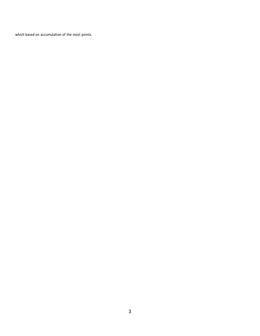which based on accumulation of the most points.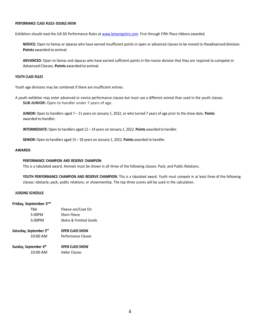#### **PERFORMANCE CLASS RULES- DOUBLE SHOW**

Exhibitors should read the ILR-SD Performance Rules at [www.lamaregistry.com.](http://www.lamaregistry.com/) First through Fifth Place ribbons awarded.

**NOVICE:** Open to llamas or alpacas who have earned insufficient points in open or advanced classes to be moved to theadvanced division. **Points** awarded to animal.

**ADVANCED:** Open to llamas and alpacas who have earned sufficient points in the novice division that they are required to compete in Advanced Classes. **Points** awarded to animal.

# **YOUTH CLASS RULES**

Youth age divisions may be combined if there are insufficient entries.

A youth exhibitor may enter advanced or novice performance classes but must use a different animal than used in the youth classes. **SUB-JUNIOR:** Open to handler under 7 years of age.

**JUNIOR:** Open to handlers aged 7 – 11 years on January 1, 2022, or who turned 7 years of age prior to the show date. **Points** awarded to handler.

**INTERMEDIATE:** Open to handlers aged 12 – 14 years on January 1, 2022. **Points** awarded to handler.

**SENIOR:** Open to handlers aged 15 – 18 years on January 1, 2022. **Points** awarded to handler.

# **AWARDS**

# **PERFORMANCE CHAMPION AND RESERVE CHAMPION:**

This is a tabulated award. Animals must be shown in all three of the following classes: Pack; and Public Relations.

**YOUTH PERFORMANCE CHAMPION AND RESERVE CHAMPION:** This is a tabulated award. Youth must compete in at least three of the following classes: obstacle; pack; public relations; or showmanship. The top three scores will be used in the calculation.

#### **JUDGING SCHEDULE**

# **Friday, September 2nd**

| TRA                                 | Fleece-on/Coat On       |
|-------------------------------------|-------------------------|
| 5:00PM                              | Shorn Fleece            |
| 5:00PM                              | Skeins & Finished Goods |
| Saturday, September 3 <sup>rd</sup> | <b>OPEN CLASS SHOW</b>  |
| 10:00 AM                            | Performance Classes     |

| Sunday, September 4th | <b>OPEN CLASS SHOW</b> |  |
|-----------------------|------------------------|--|
| 10:00 AM              | <b>Halter Classes</b>  |  |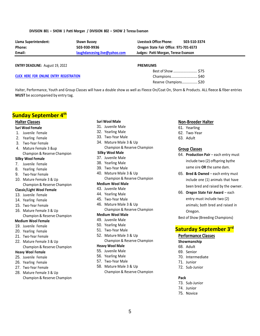# **DIVISION 801 – SHOW 1 Patti Morgan / DIVISION 802 – SHOW 2 Teresa Evanson**

| Llama Superintendent: | <b>Shawn Bussey</b>           | Livestock Office Phone:                | 503-510-3374 |
|-----------------------|-------------------------------|----------------------------------------|--------------|
| Phone:                | 503-930-9936                  | Oregon State Fair Office: 971-701-6573 |              |
| Email:                | laughdancesing.live@yahoo.com | Judges: Patti Morgan, Terese Evanson   |              |
|                       |                               |                                        |              |

**ENTRY DEADLINE:** August 19, 2022

**CLICK HERE FOR ONLINE ENTRY [REGISTRATION](https://secure.lamaregistry.com/news/calendar-of-events.php)**

Best of Show .......................... \$75 Champions........................... \$40 Reserve Champions.................. \$20

Halter, Performance, Youth and Group Classes will have a double show as well as Fleece On/Coat On, Shorn & Products. ALL fleece & fiber entries **MUST** be accompanied by entry tag.

# **Sunday September 4th**

# **Halter Classes**

## **Suri Wool Female**

- 1. Juvenile Female
- 2. Yearling Female
- 3. Two-Year Female
- 4. Mature Female 3 &up Champion & Reserve Champion
- **Silky Wool Female**
- 7. Juvenile Female
- 8. Yearling Female
- 9. Two-Year Female
- 10. Mature Female 3 & Up Champion & Reserve Champion

# **Classic/Light Wool Female**

- 13. Juvenile Female
- 14. Yearling Female
- 15. Two-Year Female
- 16. Mature Female 3 & Up Champion & Reserve Champion
- **Medium Wool Female**
- 19. Juvenile Female
- 20. Yearling Female
- 21. Two-Year Female
- 22. Mature Female 3 & Up Champion & Reserve Champion

# **Heavy Wool Female**

- 25. Juvenile Female
- 26. Yearling Female
- 27. Two-Year Female
- 28. Mature Female 3 & Up Champion & Reserve Champion

# **Suri Wool Male**

- 31. Juvenile Male
- 32. Yearling Male
- 33. Two-Year Male
- 34. Mature Male 3 & Up
- Champion & Reserve Champion

# **Silky Wool Male**

- 37. Juvenile Male
- 38. Yearling Male
- 39. Two-Year Male
- 40. Mature Male 3 & Up Champion & Reserve Champion

# **Medium Wool Male**

- 43. Juvenile Male
- 44. Yearling Male
- 45. Two-Year Male
- 46. Mature Male 3 & Up Champion & Reserve Champion

# **Medium Wool Male**

- 49. Juvenile Male
- 50. Yearling Male
- 51. Two-Year Male
- 52. Mature Male 3 & Up Champion & Reserve Champion

# **Heavy Wool Male**

- 55. Juvenile Male
- 56. Yearling Male
- 57. Two-Year Male
- 58. Mature Male 3 & Up Champion & Reserve Champion

# **Non-Breeder Halter**

- 61. Yearling
- 62. Two-Year
- 63. Adult

# **Group Classes**

- 64. **Production Pair**  each entry must include two (2) offspring bythe same sire **OR** the same dam.
- 65. **Bred & Owned**  each entry must include one (1) animals that have been bred and raised by the owner.
- 66. **Oregon State Fair Award** each entry must include two (2) animals; both bred and raised in Oregon.

Best of Show (Breeding Champions)

# **Saturday September 3rd**

# **Performance Classes**

#### **Showmanship**

- 68. Adult
- 69. Senior
- 70. Intermediate
- 71. Junior
- 72. Sub-Junior

# **Pack**

- 73. Sub-Junior
- 74. Junior
- 75. Novice

# **PREMIUMS**